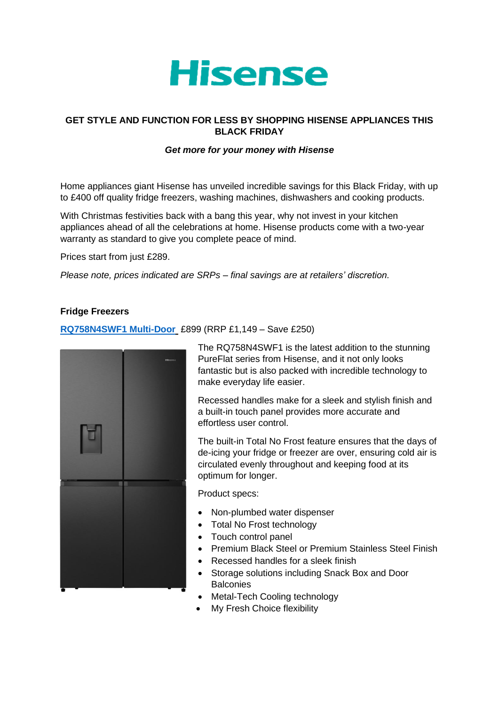

# **GET STYLE AND FUNCTION FOR LESS BY SHOPPING HISENSE APPLIANCES THIS BLACK FRIDAY**

### *Get more for your money with Hisense*

Home appliances giant Hisense has unveiled incredible savings for this Black Friday, with up to £400 off quality fridge freezers, washing machines, dishwashers and cooking products.

With Christmas festivities back with a bang this year, why not invest in your kitchen appliances ahead of all the celebrations at home. Hisense products come with a two-year warranty as standard to give you complete peace of mind.

Prices start from just £289.

*Please note, prices indicated are SRPs – final savings are at retailers' discretion.*

### **Fridge Freezers**

## **[RQ758N4SWF1 Multi-Door](https://hisense.co.uk/refrigeration/all-refrigeration/rq758n4swf1/)** £899 (RRP £1,149 – Save £250)



The RQ758N4SWF1 is the latest addition to the stunning PureFlat series from Hisense, and it not only looks fantastic but is also packed with incredible technology to make everyday life easier.

Recessed handles make for a sleek and stylish finish and a built-in touch panel provides more accurate and effortless user control.

The built-in Total No Frost feature ensures that the days of de-icing your fridge or freezer are over, ensuring cold air is circulated evenly throughout and keeping food at its optimum for longer.

Product specs:

- Non-plumbed water dispenser
- Total No Frost technology
- Touch control panel
- Premium Black Steel or Premium Stainless Steel Finish
- Recessed handles for a sleek finish
- Storage solutions including Snack Box and Door **Balconies**
- Metal-Tech Cooling technology
- My Fresh Choice flexibility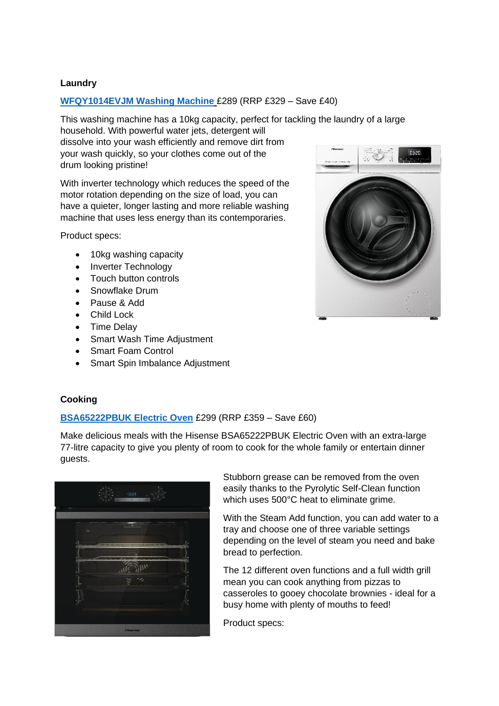# **Laundry**

### **[WFQY1014EVJM Washing Machine](https://hisense.co.uk/laundry/all-laundry/wfqy1014evjm/)** £289 (RRP £329 – Save £40)

This washing machine has a 10kg capacity, perfect for tackling the laundry of a large household. With powerful water jets, detergent will dissolve into your wash efficiently and remove dirt from your wash quickly, so your clothes come out of the drum looking pristine!

With inverter technology which reduces the speed of the motor rotation depending on the size of load, you can have a quieter, longer lasting and more reliable washing machine that uses less energy than its contemporaries.

Product specs:

- 10kg washing capacity
- Inverter Technology
- Touch button controls
- Snowflake Drum
- Pause & Add
- Child Lock
- Time Delay
- Smart Wash Time Adjustment
- Smart Foam Control
- Smart Spin Imbalance Adjustment



# **Cooking**

### **[BSA65222PBUK Electric Oven](https://hisense.co.uk/ovens/all-ovens/bsa65222pbuk/)** £299 (RRP £359 – Save £60)

Make delicious meals with the Hisense BSA65222PBUK Electric Oven with an extra-large 77-litre capacity to give you plenty of room to cook for the whole family or entertain dinner guests.



Stubborn grease can be removed from the oven easily thanks to the Pyrolytic Self-Clean function which uses 500°C heat to eliminate grime.

With the Steam Add function, you can add water to a tray and choose one of three variable settings depending on the level of steam you need and bake bread to perfection.

The 12 different oven functions and a full width grill mean you can cook anything from pizzas to casseroles to gooey chocolate brownies - ideal for a busy home with plenty of mouths to feed!

Product specs: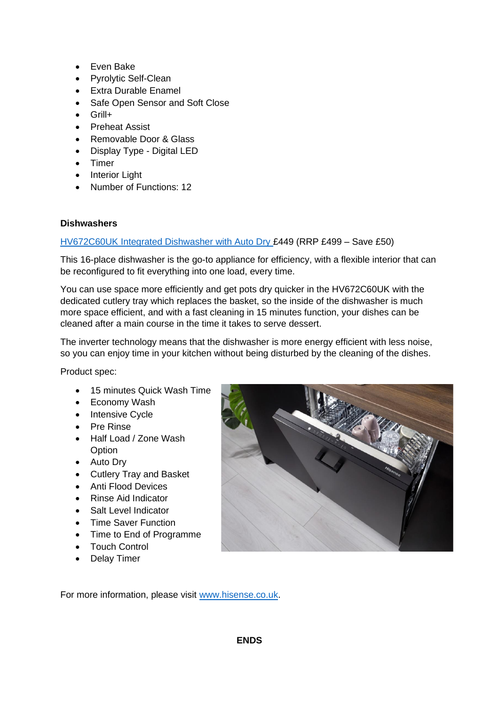- Even Bake
- Pyrolytic Self-Clean
- Extra Durable Enamel
- Safe Open Sensor and Soft Close
- Grill+
- Preheat Assist
- Removable Door & Glass
- Display Type Digital LED
- Timer
- Interior Light
- Number of Functions: 12

### **Dishwashers**

## [HV672C60UK Integrated Dishwasher with Auto Dry](https://hisense.co.uk/dishwashers/all-dishwashers/hv672c60uk/) £449 (RRP £499 – Save £50)

This 16-place dishwasher is the go-to appliance for efficiency, with a flexible interior that can be reconfigured to fit everything into one load, every time.

You can use space more efficiently and get pots dry quicker in the HV672C60UK with the dedicated cutlery tray which replaces the basket, so the inside of the dishwasher is much more space efficient, and with a fast cleaning in 15 minutes function, your dishes can be cleaned after a main course in the time it takes to serve dessert.

The inverter technology means that the dishwasher is more energy efficient with less noise, so you can enjoy time in your kitchen without being disturbed by the cleaning of the dishes.

Product spec:

- 15 minutes Quick Wash Time
- Economy Wash
- Intensive Cycle
- Pre Rinse
- Half Load / Zone Wash **Option**
- Auto Dry
- Cutlery Tray and Basket
- Anti Flood Devices
- Rinse Aid Indicator
- Salt Level Indicator
- Time Saver Function
- Time to End of Programme
- Touch Control
- Delay Timer



For more information, please visit [www.hisense.co.uk.](http://www.hisense.co.uk/)